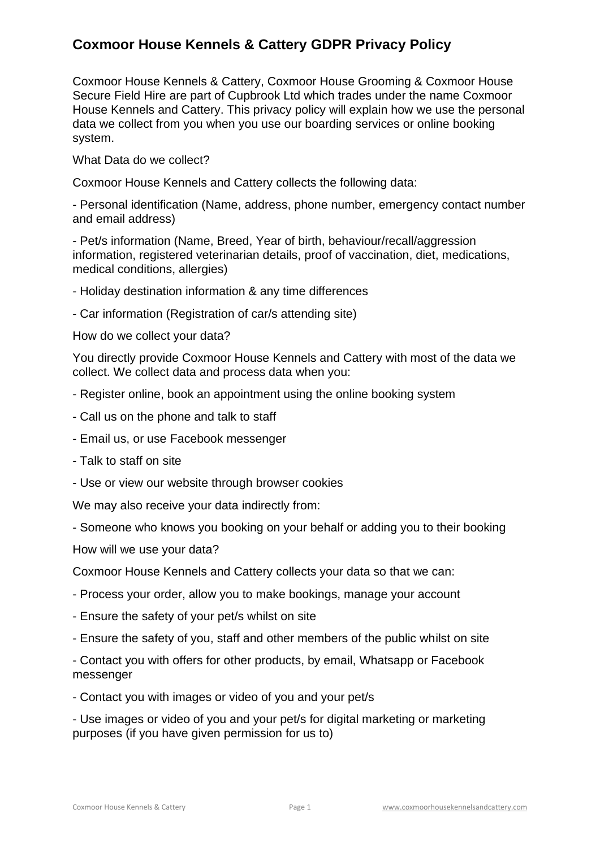Coxmoor House Kennels & Cattery, Coxmoor House Grooming & Coxmoor House Secure Field Hire are part of Cupbrook Ltd which trades under the name Coxmoor House Kennels and Cattery. This privacy policy will explain how we use the personal data we collect from you when you use our boarding services or online booking system.

What Data do we collect?

Coxmoor House Kennels and Cattery collects the following data:

- Personal identification (Name, address, phone number, emergency contact number and email address)

- Pet/s information (Name, Breed, Year of birth, behaviour/recall/aggression information, registered veterinarian details, proof of vaccination, diet, medications, medical conditions, allergies)

- Holiday destination information & any time differences

- Car information (Registration of car/s attending site)

How do we collect your data?

You directly provide Coxmoor House Kennels and Cattery with most of the data we collect. We collect data and process data when you:

- Register online, book an appointment using the online booking system
- Call us on the phone and talk to staff
- Email us, or use Facebook messenger
- Talk to staff on site
- Use or view our website through browser cookies

We may also receive your data indirectly from:

- Someone who knows you booking on your behalf or adding you to their booking

How will we use your data?

Coxmoor House Kennels and Cattery collects your data so that we can:

- Process your order, allow you to make bookings, manage your account
- Ensure the safety of your pet/s whilst on site
- Ensure the safety of you, staff and other members of the public whilst on site

- Contact you with offers for other products, by email, Whatsapp or Facebook messenger

- Contact you with images or video of you and your pet/s

- Use images or video of you and your pet/s for digital marketing or marketing purposes (if you have given permission for us to)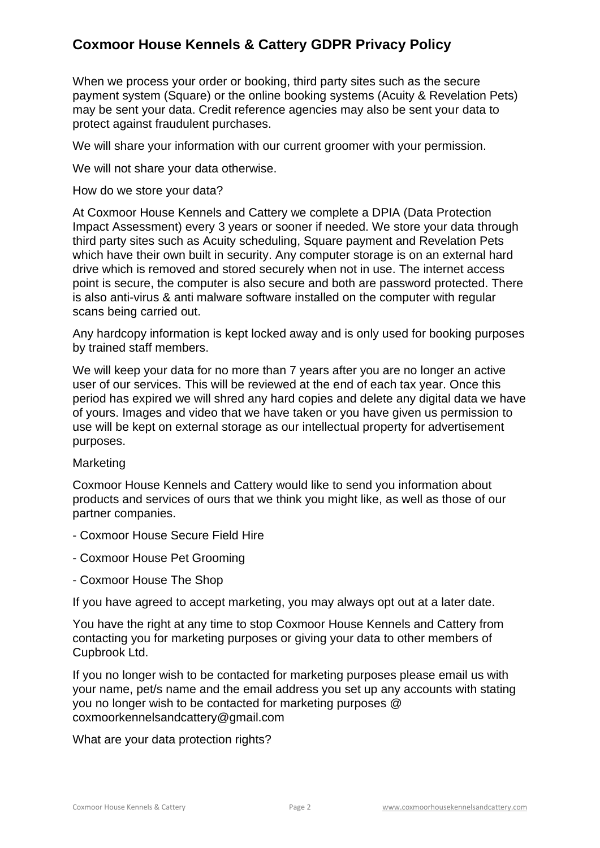When we process your order or booking, third party sites such as the secure payment system (Square) or the online booking systems (Acuity & Revelation Pets) may be sent your data. Credit reference agencies may also be sent your data to protect against fraudulent purchases.

We will share your information with our current groomer with your permission.

We will not share your data otherwise.

How do we store your data?

At Coxmoor House Kennels and Cattery we complete a DPIA (Data Protection Impact Assessment) every 3 years or sooner if needed. We store your data through third party sites such as Acuity scheduling, Square payment and Revelation Pets which have their own built in security. Any computer storage is on an external hard drive which is removed and stored securely when not in use. The internet access point is secure, the computer is also secure and both are password protected. There is also anti-virus & anti malware software installed on the computer with regular scans being carried out.

Any hardcopy information is kept locked away and is only used for booking purposes by trained staff members.

We will keep your data for no more than 7 years after you are no longer an active user of our services. This will be reviewed at the end of each tax year. Once this period has expired we will shred any hard copies and delete any digital data we have of yours. Images and video that we have taken or you have given us permission to use will be kept on external storage as our intellectual property for advertisement purposes.

### Marketing

Coxmoor House Kennels and Cattery would like to send you information about products and services of ours that we think you might like, as well as those of our partner companies.

- Coxmoor House Secure Field Hire
- Coxmoor House Pet Grooming
- Coxmoor House The Shop

If you have agreed to accept marketing, you may always opt out at a later date.

You have the right at any time to stop Coxmoor House Kennels and Cattery from contacting you for marketing purposes or giving your data to other members of Cupbrook Ltd.

If you no longer wish to be contacted for marketing purposes please email us with your name, pet/s name and the email address you set up any accounts with stating you no longer wish to be contacted for marketing purposes @ coxmoorkennelsandcattery@gmail.com

What are your data protection rights?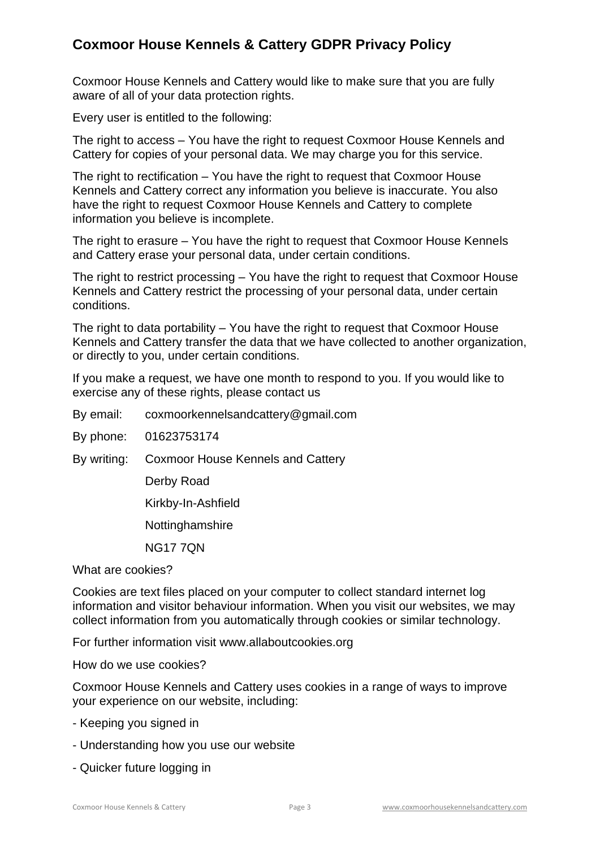Coxmoor House Kennels and Cattery would like to make sure that you are fully aware of all of your data protection rights.

Every user is entitled to the following:

The right to access – You have the right to request Coxmoor House Kennels and Cattery for copies of your personal data. We may charge you for this service.

The right to rectification – You have the right to request that Coxmoor House Kennels and Cattery correct any information you believe is inaccurate. You also have the right to request Coxmoor House Kennels and Cattery to complete information you believe is incomplete.

The right to erasure – You have the right to request that Coxmoor House Kennels and Cattery erase your personal data, under certain conditions.

The right to restrict processing – You have the right to request that Coxmoor House Kennels and Cattery restrict the processing of your personal data, under certain conditions.

The right to data portability – You have the right to request that Coxmoor House Kennels and Cattery transfer the data that we have collected to another organization, or directly to you, under certain conditions.

If you make a request, we have one month to respond to you. If you would like to exercise any of these rights, please contact us

By email: coxmoorkennelsandcattery@gmail.com

By phone: 01623753174

By writing: Coxmoor House Kennels and Cattery

Derby Road

Kirkby-In-Ashfield

**Nottinghamshire** 

NG17 7QN

What are cookies?

Cookies are text files placed on your computer to collect standard internet log information and visitor behaviour information. When you visit our websites, we may collect information from you automatically through cookies or similar technology.

For further information visit www.allaboutcookies.org

How do we use cookies?

Coxmoor House Kennels and Cattery uses cookies in a range of ways to improve your experience on our website, including:

- Keeping you signed in
- Understanding how you use our website
- Quicker future logging in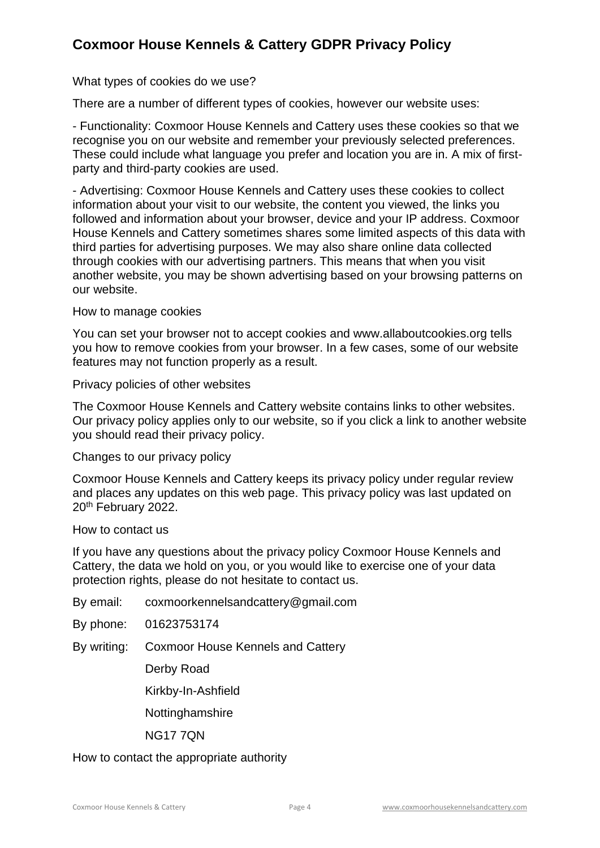What types of cookies do we use?

There are a number of different types of cookies, however our website uses:

- Functionality: Coxmoor House Kennels and Cattery uses these cookies so that we recognise you on our website and remember your previously selected preferences. These could include what language you prefer and location you are in. A mix of firstparty and third-party cookies are used.

- Advertising: Coxmoor House Kennels and Cattery uses these cookies to collect information about your visit to our website, the content you viewed, the links you followed and information about your browser, device and your IP address. Coxmoor House Kennels and Cattery sometimes shares some limited aspects of this data with third parties for advertising purposes. We may also share online data collected through cookies with our advertising partners. This means that when you visit another website, you may be shown advertising based on your browsing patterns on our website.

#### How to manage cookies

You can set your browser not to accept cookies and www.allaboutcookies.org tells you how to remove cookies from your browser. In a few cases, some of our website features may not function properly as a result.

Privacy policies of other websites

The Coxmoor House Kennels and Cattery website contains links to other websites. Our privacy policy applies only to our website, so if you click a link to another website you should read their privacy policy.

#### Changes to our privacy policy

Coxmoor House Kennels and Cattery keeps its privacy policy under regular review and places any updates on this web page. This privacy policy was last updated on 20th February 2022.

#### How to contact us

If you have any questions about the privacy policy Coxmoor House Kennels and Cattery, the data we hold on you, or you would like to exercise one of your data protection rights, please do not hesitate to contact us.

By email: coxmoorkennelsandcattery@gmail.com

By phone: 01623753174

By writing: Coxmoor House Kennels and Cattery

Derby Road

Kirkby-In-Ashfield

Nottinghamshire

NG17 7QN

### How to contact the appropriate authority